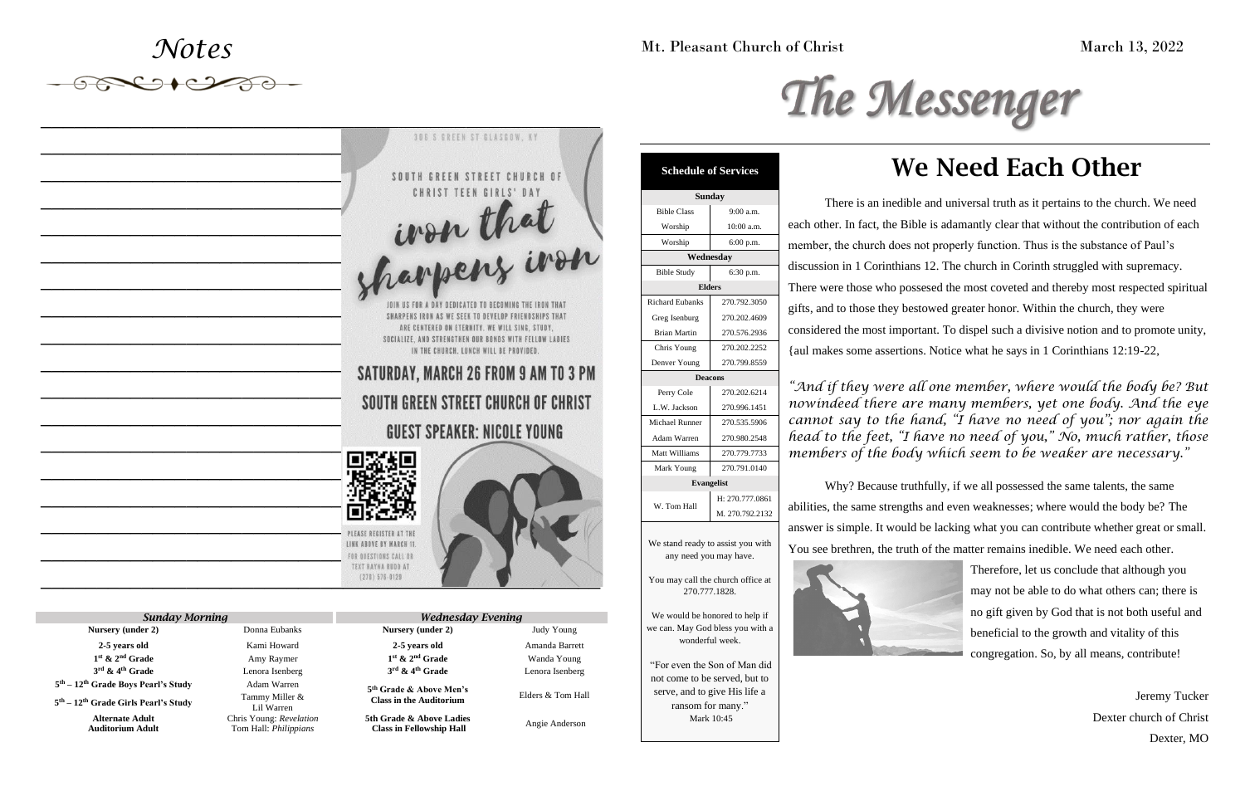*Notes*

*\_\_\_\_\_\_\_\_\_\_\_\_\_\_\_\_\_\_\_\_\_\_\_\_\_\_\_\_\_\_\_\_\_\_\_\_\_\_\_\_\_\_\_\_\_\_\_\_\_\_*

# We Need Each Other

There is an inedible and universal truth as it pertains to the church. We need each other. In fact, the Bible is adamantly clear that without the contribution of each member, the church does not properly function. Thus is the substance of Paul's discussion in 1 Corinthians 12. The church in Corinth struggled with supremacy. There were those who possesed the most coveted and thereby most respected spiritual gifts, and to those they bestowed greater honor. Within the church, they were considered the most important. To dispel such a divisive notion and to promote unity, {aul makes some assertions. Notice what he says in 1 Corinthians 12:19-22,

## Mt. Pleasant Church of Christ March 13, 2022



*"And if they were all one member, where would the body be? But nowindeed there are many members, yet one body. And the eye cannot say to the hand, "I have no need of you"; nor again the head to the feet, "I have no need of you," No, much rather, those members of the body which seem to be weaker are necessary."*

Why? Because truthfully, if we all possessed the same talents, the same abilities, the same strengths and even weaknesses; where would the body be? The answer is simple. It would be lacking what you can contribute whether great or small. You see brethren, the truth of the matter remains inedible. We need each other.





Therefore, let us conclude that although you may not be able to do what others can; there is no gift given by God that is not both useful and beneficial to the growth and vitality of this congregation. So, by all means, contribute!

> Jeremy Tucker Dexter church of Christ Dexter, MO

270.777.1828.

We would be honored to help if we can. May God bless you with a

# wonderful week. "For even the Son of Man did not come to be served, but to

serve, and to give His life a ransom for many." Mark 10:45